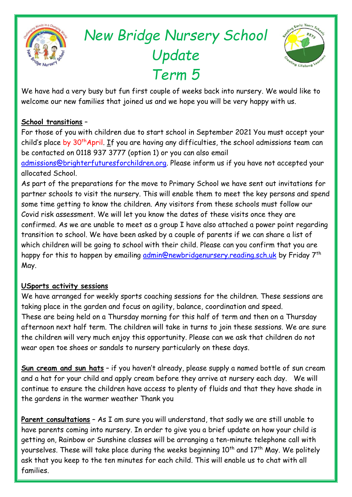

# *New Bridge Nursery School Update Term 5*



We have had a very busy but fun first couple of weeks back into nursery. We would like to welcome our new families that joined us and we hope you will be very happy with us.

#### **School transitions** –

For those of you with children due to start school in September 2021 You must accept your child's place by 30<sup>th</sup>April. If you are having any difficulties, the school admissions team can be contacted on 0118 937 3777 (option 1) or you can also email

[admissions@brighterfuturesforchildren.org.](mailto:admissions@brighterfuturesforchildren.org) Please inform us if you have not accepted your allocated School.

As part of the preparations for the move to Primary School we have sent out invitations for partner schools to visit the nursery. This will enable them to meet the key persons and spend some time getting to know the children. Any visitors from these schools must follow our Covid risk assessment. We will let you know the dates of these visits once they are confirmed. As we are unable to meet as a group I have also attached a power point regarding transition to school. We have been asked by a couple of parents if we can share a list of which children will be going to school with their child. Please can you confirm that you are happy for this to happen by emailing [admin@newbridgenursery.reading.sch.uk](mailto:admin@newbridgenursery.reading.sch.uk) by Friday 7<sup>th</sup> May.

#### **USports activity sessions**

We have arranged for weekly sports coaching sessions for the children. These sessions are taking place in the garden and focus on agility, balance, coordination and speed. These are being held on a Thursday morning for this half of term and then on a Thursday afternoon next half term. The children will take in turns to join these sessions. We are sure the children will very much enjoy this opportunity. Please can we ask that children do not wear open toe shoes or sandals to nursery particularly on these days.

**Sun cream and sun hats** – if you haven't already, please supply a named bottle of sun cream and a hat for your child and apply cream before they arrive at nursery each day. We will continue to ensure the children have access to plenty of fluids and that they have shade in the gardens in the warmer weather Thank you

**Parent consultations** – As I am sure you will understand, that sadly we are still unable to have parents coming into nursery. In order to give you a brief update on how your child is getting on, Rainbow or Sunshine classes will be arranging a ten-minute telephone call with yourselves. These will take place during the weeks beginning  $10<sup>th</sup>$  and  $17<sup>th</sup>$  May. We politely ask that you keep to the ten minutes for each child. This will enable us to chat with all families.